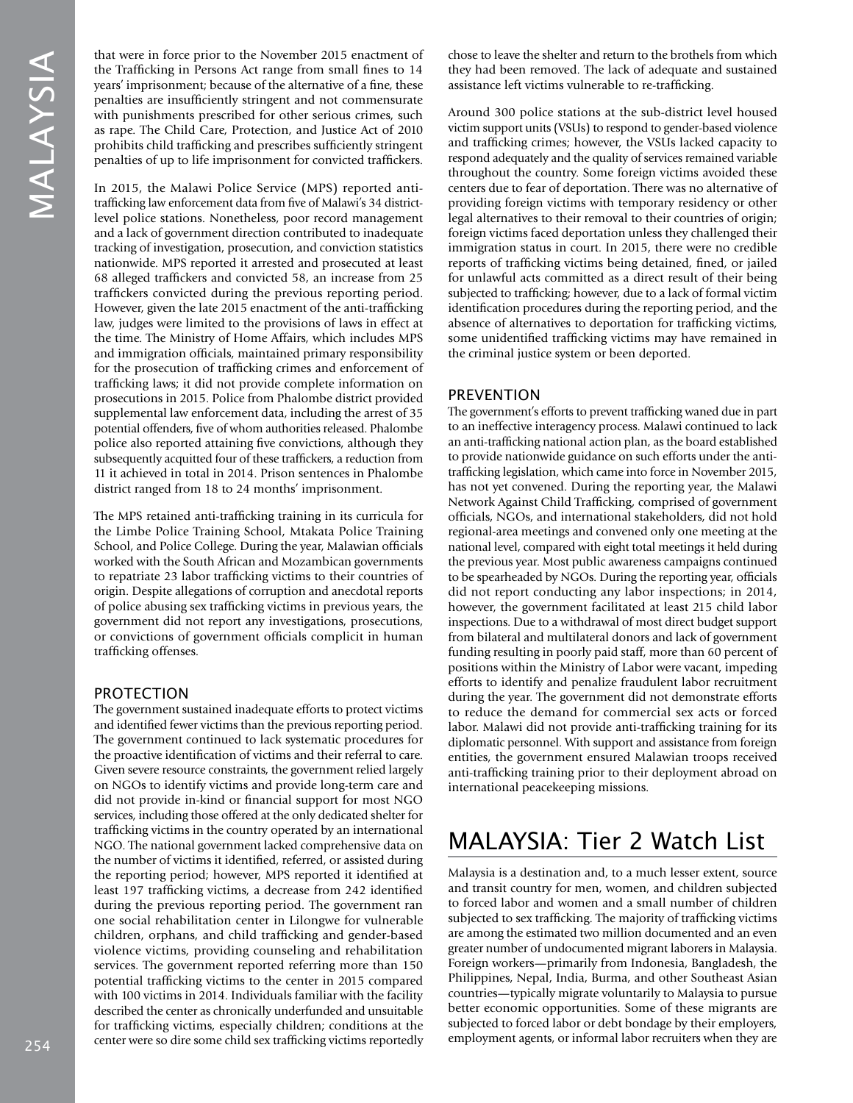that were in force prior to the November 2015 enactment of the Trafficking in Persons Act range from small fines to 14 years' imprisonment; because of the alternative of a fine, these penalties are insufficiently stringent and not commensurate with punishments prescribed for other serious crimes, such as rape. The Child Care, Protection, and Justice Act of 2010 prohibits child trafficking and prescribes sufficiently stringent penalties of up to life imprisonment for convicted traffickers.

In 2015, the Malawi Police Service (MPS) reported antitrafficking law enforcement data from five of Malawi's 34 districtlevel police stations. Nonetheless, poor record management and a lack of government direction contributed to inadequate tracking of investigation, prosecution, and conviction statistics nationwide. MPS reported it arrested and prosecuted at least 68 alleged traffickers and convicted 58, an increase from 25 traffickers convicted during the previous reporting period. However, given the late 2015 enactment of the anti-trafficking law, judges were limited to the provisions of laws in effect at the time. The Ministry of Home Affairs, which includes MPS and immigration officials, maintained primary responsibility for the prosecution of trafficking crimes and enforcement of trafficking laws; it did not provide complete information on prosecutions in 2015. Police from Phalombe district provided supplemental law enforcement data, including the arrest of 35 potential offenders, five of whom authorities released. Phalombe police also reported attaining five convictions, although they subsequently acquitted four of these traffickers, a reduction from 11 it achieved in total in 2014. Prison sentences in Phalombe district ranged from 18 to 24 months' imprisonment.

The MPS retained anti-trafficking training in its curricula for the Limbe Police Training School, Mtakata Police Training School, and Police College. During the year, Malawian officials worked with the South African and Mozambican governments to repatriate 23 labor trafficking victims to their countries of origin. Despite allegations of corruption and anecdotal reports of police abusing sex trafficking victims in previous years, the government did not report any investigations, prosecutions, or convictions of government officials complicit in human trafficking offenses.

## PROTECTION

The government sustained inadequate efforts to protect victims and identified fewer victims than the previous reporting period. The government continued to lack systematic procedures for the proactive identification of victims and their referral to care. Given severe resource constraints, the government relied largely on NGOs to identify victims and provide long-term care and did not provide in-kind or financial support for most NGO services, including those offered at the only dedicated shelter for trafficking victims in the country operated by an international NGO. The national government lacked comprehensive data on the number of victims it identified, referred, or assisted during the reporting period; however, MPS reported it identified at least 197 trafficking victims, a decrease from 242 identified during the previous reporting period. The government ran one social rehabilitation center in Lilongwe for vulnerable children, orphans, and child trafficking and gender-based violence victims, providing counseling and rehabilitation services. The government reported referring more than 150 potential trafficking victims to the center in 2015 compared with 100 victims in 2014. Individuals familiar with the facility described the center as chronically underfunded and unsuitable for trafficking victims, especially children; conditions at the center were so dire some child sex trafficking victims reportedly chose to leave the shelter and return to the brothels from which they had been removed. The lack of adequate and sustained assistance left victims vulnerable to re-trafficking.

Around 300 police stations at the sub-district level housed victim support units (VSUs) to respond to gender-based violence and trafficking crimes; however, the VSUs lacked capacity to respond adequately and the quality of services remained variable throughout the country. Some foreign victims avoided these centers due to fear of deportation. There was no alternative of providing foreign victims with temporary residency or other legal alternatives to their removal to their countries of origin; foreign victims faced deportation unless they challenged their immigration status in court. In 2015, there were no credible reports of trafficking victims being detained, fined, or jailed for unlawful acts committed as a direct result of their being subjected to trafficking; however, due to a lack of formal victim identification procedures during the reporting period, and the absence of alternatives to deportation for trafficking victims, some unidentified trafficking victims may have remained in the criminal justice system or been deported.

### PREVENTION

The government's efforts to prevent trafficking waned due in part to an ineffective interagency process. Malawi continued to lack an anti-trafficking national action plan, as the board established to provide nationwide guidance on such efforts under the antitrafficking legislation, which came into force in November 2015, has not yet convened. During the reporting year, the Malawi Network Against Child Trafficking, comprised of government officials, NGOs, and international stakeholders, did not hold regional-area meetings and convened only one meeting at the national level, compared with eight total meetings it held during the previous year. Most public awareness campaigns continued to be spearheaded by NGOs. During the reporting year, officials did not report conducting any labor inspections; in 2014, however, the government facilitated at least 215 child labor inspections. Due to a withdrawal of most direct budget support from bilateral and multilateral donors and lack of government funding resulting in poorly paid staff, more than 60 percent of positions within the Ministry of Labor were vacant, impeding efforts to identify and penalize fraudulent labor recruitment during the year. The government did not demonstrate efforts to reduce the demand for commercial sex acts or forced labor. Malawi did not provide anti-trafficking training for its diplomatic personnel. With support and assistance from foreign entities, the government ensured Malawian troops received anti-trafficking training prior to their deployment abroad on international peacekeeping missions.

# MALAYSIA: Tier 2 Watch List

Malaysia is a destination and, to a much lesser extent, source and transit country for men, women, and children subjected to forced labor and women and a small number of children subjected to sex trafficking. The majority of trafficking victims are among the estimated two million documented and an even greater number of undocumented migrant laborers in Malaysia. Foreign workers—primarily from Indonesia, Bangladesh, the Philippines, Nepal, India, Burma, and other Southeast Asian countries—typically migrate voluntarily to Malaysia to pursue better economic opportunities. Some of these migrants are subjected to forced labor or debt bondage by their employers, employment agents, or informal labor recruiters when they are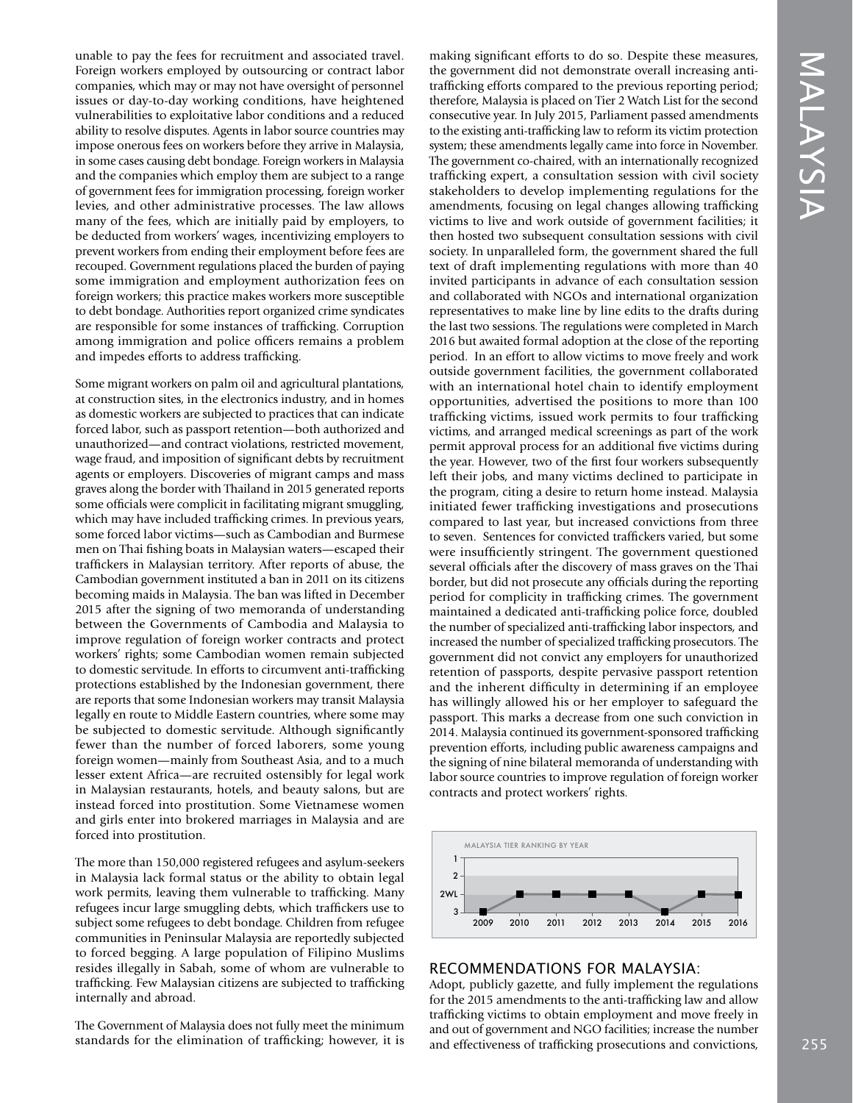unable to pay the fees for recruitment and associated travel. Foreign workers employed by outsourcing or contract labor companies, which may or may not have oversight of personnel issues or day-to-day working conditions, have heightened vulnerabilities to exploitative labor conditions and a reduced ability to resolve disputes. Agents in labor source countries may impose onerous fees on workers before they arrive in Malaysia, in some cases causing debt bondage. Foreign workers in Malaysia and the companies which employ them are subject to a range of government fees for immigration processing, foreign worker levies, and other administrative processes. The law allows many of the fees, which are initially paid by employers, to be deducted from workers' wages, incentivizing employers to prevent workers from ending their employment before fees are recouped. Government regulations placed the burden of paying some immigration and employment authorization fees on foreign workers; this practice makes workers more susceptible to debt bondage. Authorities report organized crime syndicates are responsible for some instances of trafficking. Corruption among immigration and police officers remains a problem and impedes efforts to address trafficking.

Some migrant workers on palm oil and agricultural plantations, at construction sites, in the electronics industry, and in homes as domestic workers are subjected to practices that can indicate forced labor, such as passport retention—both authorized and unauthorized—and contract violations, restricted movement, wage fraud, and imposition of significant debts by recruitment agents or employers. Discoveries of migrant camps and mass graves along the border with Thailand in 2015 generated reports some officials were complicit in facilitating migrant smuggling, which may have included trafficking crimes. In previous years, some forced labor victims—such as Cambodian and Burmese men on Thai fishing boats in Malaysian waters—escaped their traffickers in Malaysian territory. After reports of abuse, the Cambodian government instituted a ban in 2011 on its citizens becoming maids in Malaysia. The ban was lifted in December 2015 after the signing of two memoranda of understanding between the Governments of Cambodia and Malaysia to improve regulation of foreign worker contracts and protect workers' rights; some Cambodian women remain subjected to domestic servitude. In efforts to circumvent anti-trafficking protections established by the Indonesian government, there are reports that some Indonesian workers may transit Malaysia legally en route to Middle Eastern countries, where some may be subjected to domestic servitude. Although significantly fewer than the number of forced laborers, some young foreign women—mainly from Southeast Asia, and to a much lesser extent Africa—are recruited ostensibly for legal work in Malaysian restaurants, hotels, and beauty salons, but are instead forced into prostitution. Some Vietnamese women and girls enter into brokered marriages in Malaysia and are forced into prostitution.

The more than 150,000 registered refugees and asylum-seekers in Malaysia lack formal status or the ability to obtain legal work permits, leaving them vulnerable to trafficking. Many refugees incur large smuggling debts, which traffickers use to subject some refugees to debt bondage. Children from refugee communities in Peninsular Malaysia are reportedly subjected to forced begging. A large population of Filipino Muslims resides illegally in Sabah, some of whom are vulnerable to trafficking. Few Malaysian citizens are subjected to trafficking internally and abroad.

The Government of Malaysia does not fully meet the minimum standards for the elimination of trafficking; however, it is making significant efforts to do so. Despite these measures, the government did not demonstrate overall increasing antitrafficking efforts compared to the previous reporting period; therefore, Malaysia is placed on Tier 2 Watch List for the second consecutive year. In July 2015, Parliament passed amendments to the existing anti-trafficking law to reform its victim protection system; these amendments legally came into force in November. The government co-chaired, with an internationally recognized trafficking expert, a consultation session with civil society stakeholders to develop implementing regulations for the amendments, focusing on legal changes allowing trafficking victims to live and work outside of government facilities; it then hosted two subsequent consultation sessions with civil society. In unparalleled form, the government shared the full text of draft implementing regulations with more than 40 invited participants in advance of each consultation session and collaborated with NGOs and international organization representatives to make line by line edits to the drafts during the last two sessions. The regulations were completed in March 2016 but awaited formal adoption at the close of the reporting period. In an effort to allow victims to move freely and work outside government facilities, the government collaborated with an international hotel chain to identify employment opportunities, advertised the positions to more than 100 trafficking victims, issued work permits to four trafficking victims, and arranged medical screenings as part of the work permit approval process for an additional five victims during the year. However, two of the first four workers subsequently left their jobs, and many victims declined to participate in the program, citing a desire to return home instead. Malaysia initiated fewer trafficking investigations and prosecutions compared to last year, but increased convictions from three to seven. Sentences for convicted traffickers varied, but some were insufficiently stringent. The government questioned several officials after the discovery of mass graves on the Thai border, but did not prosecute any officials during the reporting period for complicity in trafficking crimes. The government maintained a dedicated anti-trafficking police force, doubled the number of specialized anti-trafficking labor inspectors, and increased the number of specialized trafficking prosecutors. The government did not convict any employers for unauthorized retention of passports, despite pervasive passport retention and the inherent difficulty in determining if an employee has willingly allowed his or her employer to safeguard the passport. This marks a decrease from one such conviction in 2014. Malaysia continued its government-sponsored trafficking prevention efforts, including public awareness campaigns and the signing of nine bilateral memoranda of understanding with labor source countries to improve regulation of foreign worker contracts and protect workers' rights.



### RECOMMENDATIONS FOR MALAYSIA:

Adopt, publicly gazette, and fully implement the regulations for the 2015 amendments to the anti-trafficking law and allow trafficking victims to obtain employment and move freely in and out of government and NGO facilities; increase the number and effectiveness of trafficking prosecutions and convictions,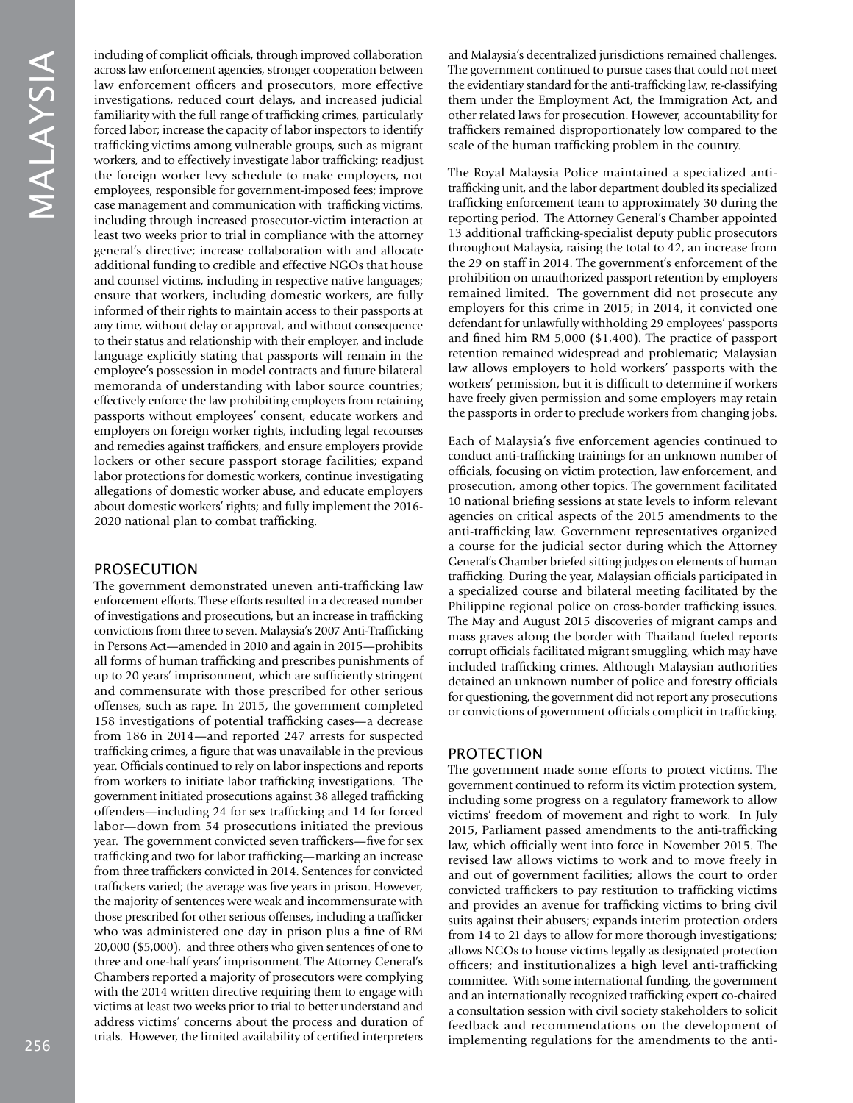including of complicit officials, through improved collaboration across law enforcement agencies, stronger cooperation between law enforcement officers and prosecutors, more effective investigations, reduced court delays, and increased judicial familiarity with the full range of trafficking crimes, particularly forced labor; increase the capacity of labor inspectors to identify trafficking victims among vulnerable groups, such as migrant workers, and to effectively investigate labor trafficking; readjust the foreign worker levy schedule to make employers, not employees, responsible for government-imposed fees; improve case management and communication with trafficking victims, including through increased prosecutor-victim interaction at least two weeks prior to trial in compliance with the attorney general's directive; increase collaboration with and allocate additional funding to credible and effective NGOs that house and counsel victims, including in respective native languages; ensure that workers, including domestic workers, are fully informed of their rights to maintain access to their passports at any time, without delay or approval, and without consequence to their status and relationship with their employer, and include language explicitly stating that passports will remain in the employee's possession in model contracts and future bilateral memoranda of understanding with labor source countries; effectively enforce the law prohibiting employers from retaining passports without employees' consent, educate workers and employers on foreign worker rights, including legal recourses and remedies against traffickers, and ensure employers provide lockers or other secure passport storage facilities; expand labor protections for domestic workers, continue investigating allegations of domestic worker abuse, and educate employers about domestic workers' rights; and fully implement the 2016- 2020 national plan to combat trafficking.

## PROSECUTION

The government demonstrated uneven anti-trafficking law enforcement efforts. These efforts resulted in a decreased number of investigations and prosecutions, but an increase in trafficking convictions from three to seven. Malaysia's 2007 Anti-Trafficking in Persons Act—amended in 2010 and again in 2015—prohibits all forms of human trafficking and prescribes punishments of up to 20 years' imprisonment, which are sufficiently stringent and commensurate with those prescribed for other serious offenses, such as rape. In 2015, the government completed 158 investigations of potential trafficking cases—a decrease from 186 in 2014—and reported 247 arrests for suspected trafficking crimes, a figure that was unavailable in the previous year. Officials continued to rely on labor inspections and reports from workers to initiate labor trafficking investigations. The government initiated prosecutions against 38 alleged trafficking offenders—including 24 for sex trafficking and 14 for forced labor—down from 54 prosecutions initiated the previous year. The government convicted seven traffickers—five for sex trafficking and two for labor trafficking—marking an increase from three traffickers convicted in 2014. Sentences for convicted traffickers varied; the average was five years in prison. However, the majority of sentences were weak and incommensurate with those prescribed for other serious offenses, including a trafficker who was administered one day in prison plus a fine of RM 20,000 (\$5,000), and three others who given sentences of one to three and one-half years' imprisonment. The Attorney General's Chambers reported a majority of prosecutors were complying with the 2014 written directive requiring them to engage with victims at least two weeks prior to trial to better understand and address victims' concerns about the process and duration of trials. However, the limited availability of certified interpreters

and Malaysia's decentralized jurisdictions remained challenges. The government continued to pursue cases that could not meet the evidentiary standard for the anti-trafficking law, re-classifying them under the Employment Act, the Immigration Act, and other related laws for prosecution. However, accountability for traffickers remained disproportionately low compared to the scale of the human trafficking problem in the country.

The Royal Malaysia Police maintained a specialized antitrafficking unit, and the labor department doubled its specialized trafficking enforcement team to approximately 30 during the reporting period. The Attorney General's Chamber appointed 13 additional trafficking-specialist deputy public prosecutors throughout Malaysia, raising the total to 42, an increase from the 29 on staff in 2014. The government's enforcement of the prohibition on unauthorized passport retention by employers remained limited. The government did not prosecute any employers for this crime in 2015; in 2014, it convicted one defendant for unlawfully withholding 29 employees' passports and fined him RM 5,000 (\$1,400). The practice of passport retention remained widespread and problematic; Malaysian law allows employers to hold workers' passports with the workers' permission, but it is difficult to determine if workers have freely given permission and some employers may retain the passports in order to preclude workers from changing jobs.

Each of Malaysia's five enforcement agencies continued to conduct anti-trafficking trainings for an unknown number of officials, focusing on victim protection, law enforcement, and prosecution, among other topics. The government facilitated 10 national briefing sessions at state levels to inform relevant agencies on critical aspects of the 2015 amendments to the anti-trafficking law. Government representatives organized a course for the judicial sector during which the Attorney General's Chamber briefed sitting judges on elements of human trafficking. During the year, Malaysian officials participated in a specialized course and bilateral meeting facilitated by the Philippine regional police on cross-border trafficking issues. The May and August 2015 discoveries of migrant camps and mass graves along the border with Thailand fueled reports corrupt officials facilitated migrant smuggling, which may have included trafficking crimes. Although Malaysian authorities detained an unknown number of police and forestry officials for questioning, the government did not report any prosecutions or convictions of government officials complicit in trafficking.

## PROTECTION

The government made some efforts to protect victims. The government continued to reform its victim protection system, including some progress on a regulatory framework to allow victims' freedom of movement and right to work. In July 2015, Parliament passed amendments to the anti-trafficking law, which officially went into force in November 2015. The revised law allows victims to work and to move freely in and out of government facilities; allows the court to order convicted traffickers to pay restitution to trafficking victims and provides an avenue for trafficking victims to bring civil suits against their abusers; expands interim protection orders from 14 to 21 days to allow for more thorough investigations; allows NGOs to house victims legally as designated protection officers; and institutionalizes a high level anti-trafficking committee. With some international funding, the government and an internationally recognized trafficking expert co-chaired a consultation session with civil society stakeholders to solicit feedback and recommendations on the development of implementing regulations for the amendments to the anti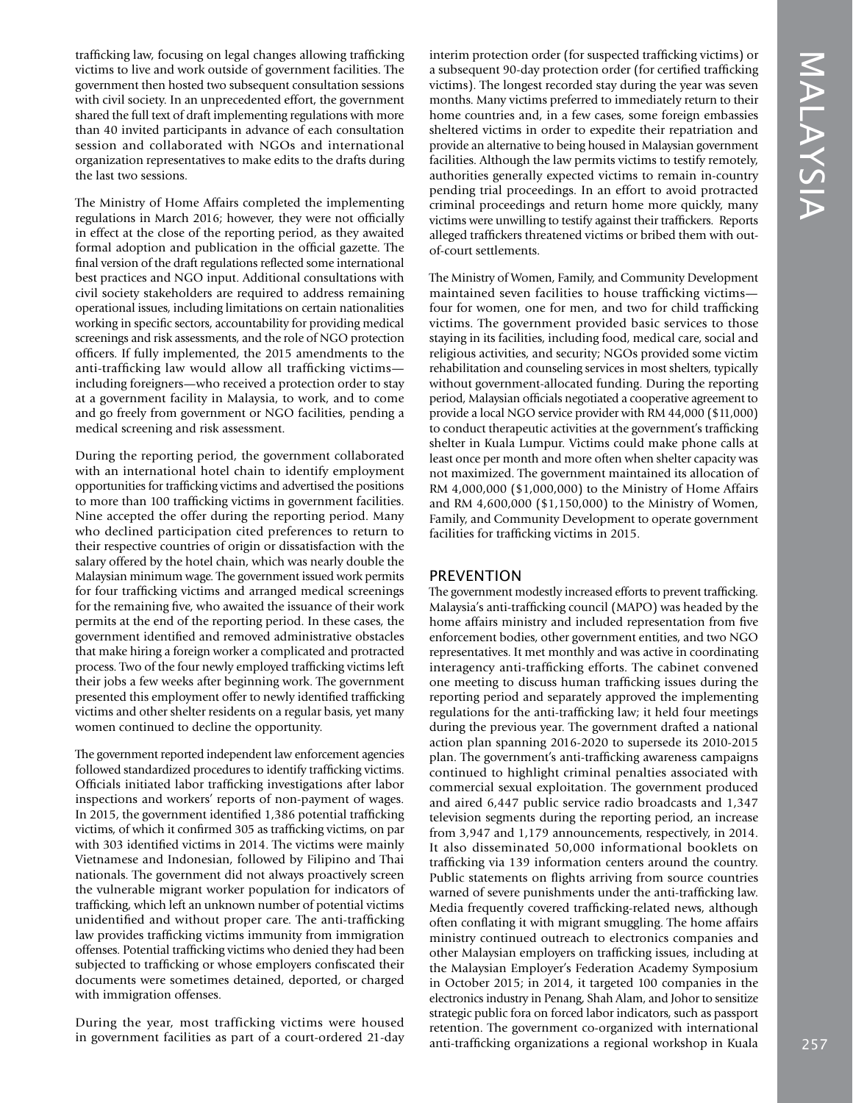trafficking law, focusing on legal changes allowing trafficking victims to live and work outside of government facilities. The government then hosted two subsequent consultation sessions with civil society. In an unprecedented effort, the government shared the full text of draft implementing regulations with more than 40 invited participants in advance of each consultation session and collaborated with NGOs and international organization representatives to make edits to the drafts during the last two sessions.

The Ministry of Home Affairs completed the implementing regulations in March 2016; however, they were not officially in effect at the close of the reporting period, as they awaited formal adoption and publication in the official gazette. The final version of the draft regulations reflected some international best practices and NGO input. Additional consultations with civil society stakeholders are required to address remaining operational issues, including limitations on certain nationalities working in specific sectors, accountability for providing medical screenings and risk assessments, and the role of NGO protection officers. If fully implemented, the 2015 amendments to the anti-trafficking law would allow all trafficking victims including foreigners—who received a protection order to stay at a government facility in Malaysia, to work, and to come and go freely from government or NGO facilities, pending a medical screening and risk assessment.

During the reporting period, the government collaborated with an international hotel chain to identify employment opportunities for trafficking victims and advertised the positions to more than 100 trafficking victims in government facilities. Nine accepted the offer during the reporting period. Many who declined participation cited preferences to return to their respective countries of origin or dissatisfaction with the salary offered by the hotel chain, which was nearly double the Malaysian minimum wage. The government issued work permits for four trafficking victims and arranged medical screenings for the remaining five, who awaited the issuance of their work permits at the end of the reporting period. In these cases, the government identified and removed administrative obstacles that make hiring a foreign worker a complicated and protracted process. Two of the four newly employed trafficking victims left their jobs a few weeks after beginning work. The government presented this employment offer to newly identified trafficking victims and other shelter residents on a regular basis, yet many women continued to decline the opportunity.

The government reported independent law enforcement agencies followed standardized procedures to identify trafficking victims. Officials initiated labor trafficking investigations after labor inspections and workers' reports of non-payment of wages. In 2015, the government identified 1,386 potential trafficking victims, of which it confirmed 305 as trafficking victims, on par with 303 identified victims in 2014. The victims were mainly Vietnamese and Indonesian, followed by Filipino and Thai nationals. The government did not always proactively screen the vulnerable migrant worker population for indicators of trafficking, which left an unknown number of potential victims unidentified and without proper care. The anti-trafficking law provides trafficking victims immunity from immigration offenses. Potential trafficking victims who denied they had been subjected to trafficking or whose employers confiscated their documents were sometimes detained, deported, or charged with immigration offenses.

During the year, most trafficking victims were housed in government facilities as part of a court-ordered 21-day interim protection order (for suspected trafficking victims) or a subsequent 90-day protection order (for certified trafficking victims). The longest recorded stay during the year was seven months. Many victims preferred to immediately return to their home countries and, in a few cases, some foreign embassies sheltered victims in order to expedite their repatriation and provide an alternative to being housed in Malaysian government facilities. Although the law permits victims to testify remotely, authorities generally expected victims to remain in-country pending trial proceedings. In an effort to avoid protracted criminal proceedings and return home more quickly, many victims were unwilling to testify against their traffickers. Reports alleged traffickers threatened victims or bribed them with outof-court settlements.

The Ministry of Women, Family, and Community Development maintained seven facilities to house trafficking victims four for women, one for men, and two for child trafficking victims. The government provided basic services to those staying in its facilities, including food, medical care, social and religious activities, and security; NGOs provided some victim rehabilitation and counseling services in most shelters, typically without government-allocated funding. During the reporting period, Malaysian officials negotiated a cooperative agreement to provide a local NGO service provider with RM 44,000 (\$11,000) to conduct therapeutic activities at the government's trafficking shelter in Kuala Lumpur. Victims could make phone calls at least once per month and more often when shelter capacity was not maximized. The government maintained its allocation of RM 4,000,000 (\$1,000,000) to the Ministry of Home Affairs and RM 4,600,000 (\$1,150,000) to the Ministry of Women, Family, and Community Development to operate government facilities for trafficking victims in 2015.

### PREVENTION

The government modestly increased efforts to prevent trafficking. Malaysia's anti-trafficking council (MAPO) was headed by the home affairs ministry and included representation from five enforcement bodies, other government entities, and two NGO representatives. It met monthly and was active in coordinating interagency anti-trafficking efforts. The cabinet convened one meeting to discuss human trafficking issues during the reporting period and separately approved the implementing regulations for the anti-trafficking law; it held four meetings during the previous year. The government drafted a national action plan spanning 2016-2020 to supersede its 2010-2015 plan. The government's anti-trafficking awareness campaigns continued to highlight criminal penalties associated with commercial sexual exploitation. The government produced and aired 6,447 public service radio broadcasts and 1,347 television segments during the reporting period, an increase from 3,947 and 1,179 announcements, respectively, in 2014. It also disseminated 50,000 informational booklets on trafficking via 139 information centers around the country. Public statements on flights arriving from source countries warned of severe punishments under the anti-trafficking law. Media frequently covered trafficking-related news, although often conflating it with migrant smuggling. The home affairs ministry continued outreach to electronics companies and other Malaysian employers on trafficking issues, including at the Malaysian Employer's Federation Academy Symposium in October 2015; in 2014, it targeted 100 companies in the electronics industry in Penang, Shah Alam, and Johor to sensitize strategic public fora on forced labor indicators, such as passport retention. The government co-organized with international anti-trafficking organizations a regional workshop in Kuala